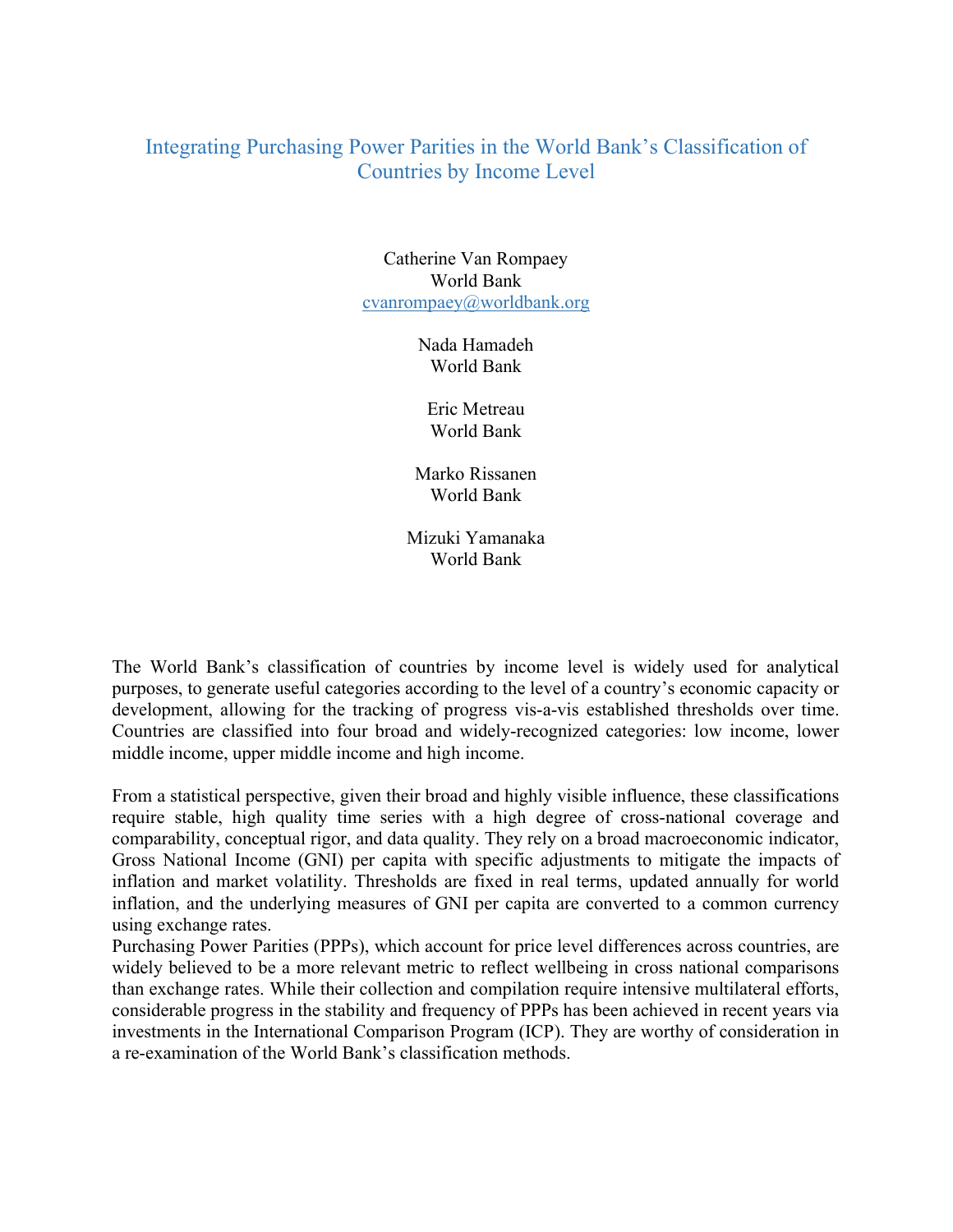## Integrating Purchasing Power Parities in the World Bank's Classification of Countries by Income Level

Catherine Van Rompaey World Bank cvanrompaey@worldbank.org

> Nada Hamadeh World Bank

Eric Metreau World Bank

Marko Rissanen World Bank

Mizuki Yamanaka World Bank

The World Bank's classification of countries by income level is widely used for analytical purposes, to generate useful categories according to the level of a country's economic capacity or development, allowing for the tracking of progress vis-a-vis established thresholds over time. Countries are classified into four broad and widely-recognized categories: low income, lower middle income, upper middle income and high income.

From a statistical perspective, given their broad and highly visible influence, these classifications require stable, high quality time series with a high degree of cross-national coverage and comparability, conceptual rigor, and data quality. They rely on a broad macroeconomic indicator, Gross National Income (GNI) per capita with specific adjustments to mitigate the impacts of inflation and market volatility. Thresholds are fixed in real terms, updated annually for world inflation, and the underlying measures of GNI per capita are converted to a common currency using exchange rates.

Purchasing Power Parities (PPPs), which account for price level differences across countries, are widely believed to be a more relevant metric to reflect wellbeing in cross national comparisons than exchange rates. While their collection and compilation require intensive multilateral efforts, considerable progress in the stability and frequency of PPPs has been achieved in recent years via investments in the International Comparison Program (ICP). They are worthy of consideration in a re-examination of the World Bank's classification methods.